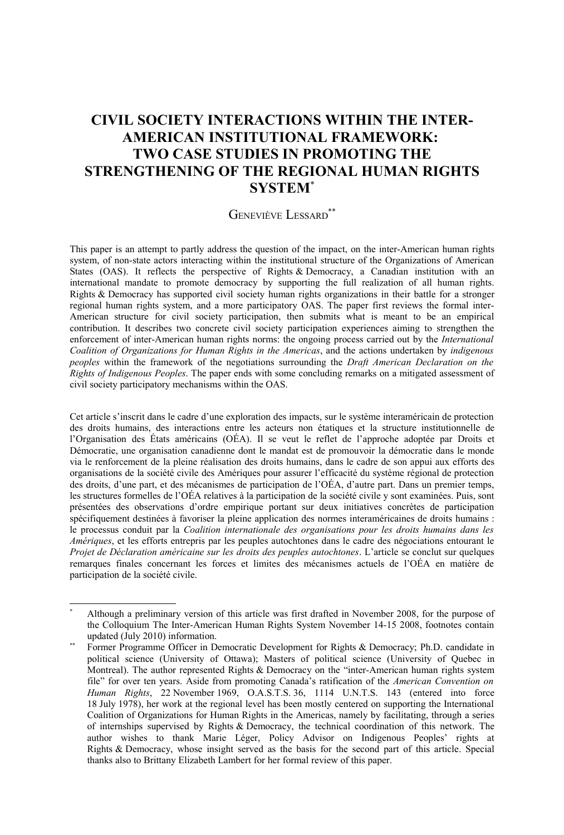# **CIVIL SOCIETY INTERACTIONS WITHIN THE INTER-AMERICAN INSTITUTIONAL FRAMEWORK: TWO CASE STUDIES IN PROMOTING THE STRENGTHENING OF THE REGIONAL HUMAN RIGHTS SYSTEM**[\\*](#page-0-0)

### GENEVIÈVE LESSARD[\\*\\*](#page-0-1)

This paper is an attempt to partly address the question of the impact, on the inter-American human rights system, of non-state actors interacting within the institutional structure of the Organizations of American States (OAS). It reflects the perspective of Rights & Democracy, a Canadian institution with an international mandate to promote democracy by supporting the full realization of all human rights. Rights & Democracy has supported civil society human rights organizations in their battle for a stronger regional human rights system, and a more participatory OAS. The paper first reviews the formal inter-American structure for civil society participation, then submits what is meant to be an empirical contribution. It describes two concrete civil society participation experiences aiming to strengthen the enforcement of inter-American human rights norms: the ongoing process carried out by the *International Coalition of Organizations for Human Rights in the Americas*, and the actions undertaken by *indigenous peoples* within the framework of the negotiations surrounding the *Draft American Declaration on the Rights of Indigenous Peoples*. The paper ends with some concluding remarks on a mitigated assessment of civil society participatory mechanisms within the OAS.

Cet article s'inscrit dans le cadre d'une exploration des impacts, sur le système interaméricain de protection des droits humains, des interactions entre les acteurs non étatiques et la structure institutionnelle de l'Organisation des États américains (OÉA). Il se veut le reflet de l'approche adoptée par Droits et Démocratie, une organisation canadienne dont le mandat est de promouvoir la démocratie dans le monde via le renforcement de la pleine réalisation des droits humains, dans le cadre de son appui aux efforts des organisations de la société civile des Amériques pour assurer l'efficacité du système régional de protection des droits, d'une part, et des mécanismes de participation de l'OÉA, d'autre part. Dans un premier temps, les structures formelles de l'OÉA relatives à la participation de la société civile y sont examinées. Puis, sont présentées des observations d'ordre empirique portant sur deux initiatives concrètes de participation spécifiquement destinées à favoriser la pleine application des normes interaméricaines de droits humains : le processus conduit par la *Coalition internationale des organisations pour les droits humains dans les Amériques*, et les efforts entrepris par les peuples autochtones dans le cadre des négociations entourant le *Projet de Déclaration américaine sur les droits des peuples autochtones*. L'article se conclut sur quelques remarques finales concernant les forces et limites des mécanismes actuels de l'OÉA en matière de participation de la société civile.

<span id="page-0-0"></span>Although a preliminary version of this article was first drafted in November 2008, for the purpose of the Colloquium The Inter-American Human Rights System November 14-15 2008, footnotes contain updated (July 2010) information.

<span id="page-0-1"></span>Former Programme Officer in Democratic Development for Rights & Democracy; Ph.D. candidate in political science (University of Ottawa); Masters of political science (University of Quebec in Montreal). The author represented Rights & Democracy on the "inter-American human rights system file" for over ten years. Aside from promoting Canada's ratification of the *American Convention on Human Rights*, 22 November 1969, O.A.S.T.S. 36, 1114 U.N.T.S. 143 (entered into force 18 July 1978), her work at the regional level has been mostly centered on supporting the International Coalition of Organizations for Human Rights in the Americas, namely by facilitating, through a series of internships supervised by Rights & Democracy, the technical coordination of this network. The author wishes to thank Marie Léger, Policy Advisor on Indigenous Peoples' rights at Rights & Democracy, whose insight served as the basis for the second part of this article. Special thanks also to Brittany Elizabeth Lambert for her formal review of this paper.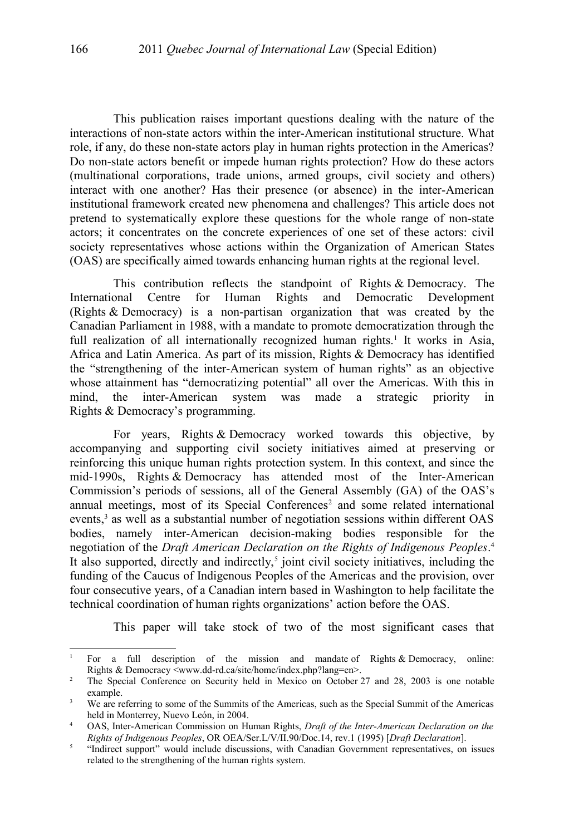This publication raises important questions dealing with the nature of the interactions of non-state actors within the inter-American institutional structure. What role, if any, do these non-state actors play in human rights protection in the Americas? Do non-state actors benefit or impede human rights protection? How do these actors (multinational corporations, trade unions, armed groups, civil society and others) interact with one another? Has their presence (or absence) in the inter-American institutional framework created new phenomena and challenges? This article does not pretend to systematically explore these questions for the whole range of non-state actors; it concentrates on the concrete experiences of one set of these actors: civil society representatives whose actions within the Organization of American States (OAS) are specifically aimed towards enhancing human rights at the regional level.

This contribution reflects the standpoint of Rights & Democracy. The International Centre for Human Rights and Democratic Development (Rights & Democracy) is a non-partisan organization that was created by the Canadian Parliament in 1988, with a mandate to promote democratization through the full realization of all internationally recognized human rights.<sup>[1](#page-1-0)</sup> It works in Asia, Africa and Latin America. As part of its mission, Rights & Democracy has identified the "strengthening of the inter-American system of human rights" as an objective whose attainment has "democratizing potential" all over the Americas. With this in mind, the inter-American system was made a strategic priority in Rights & Democracy's programming.

For years, Rights & Democracy worked towards this objective, by accompanying and supporting civil society initiatives aimed at preserving or reinforcing this unique human rights protection system. In this context, and since the mid-1990s, Rights & Democracy has attended most of the Inter-American Commission's periods of sessions, all of the General Assembly (GA) of the OAS's annual meetings, most of its Special Conferences<sup>[2](#page-1-1)</sup> and some related international events,<sup>[3](#page-1-2)</sup> as well as a substantial number of negotiation sessions within different OAS bodies, namely inter-American decision-making bodies responsible for the negotiation of the *Draft American Declaration on the Rights of Indigenous Peoples*. [4](#page-1-3) It also supported, directly and indirectly,<sup>[5](#page-1-4)</sup> joint civil society initiatives, including the funding of the Caucus of Indigenous Peoples of the Americas and the provision, over four consecutive years, of a Canadian intern based in Washington to help facilitate the technical coordination of human rights organizations' action before the OAS.

This paper will take stock of two of the most significant cases that

<span id="page-1-0"></span><sup>&</sup>lt;sup>1</sup> For a full description of the mission and mandate of Rights & Democracy, online: Rights & Democracy <www.dd-rd.ca/site/home/index.php?lang=en>.

<span id="page-1-1"></span><sup>&</sup>lt;sup>2</sup> The Special Conference on Security held in Mexico on October 27 and 28, 2003 is one notable example.

<span id="page-1-2"></span><sup>&</sup>lt;sup>3</sup> We are referring to some of the Summits of the Americas, such as the Special Summit of the Americas held in Monterrey, Nuevo León, in 2004.

<span id="page-1-3"></span><sup>4</sup> OAS, Inter-American Commission on Human Rights, *Draft of the Inter-American Declaration on the Rights of Indigenous Peoples*, OR OEA/Ser.L/V/II.90/Doc.14, rev.1 (1995) [*Draft Declaration*].

<span id="page-1-4"></span><sup>5</sup> "Indirect support" would include discussions, with Canadian Government representatives, on issues related to the strengthening of the human rights system.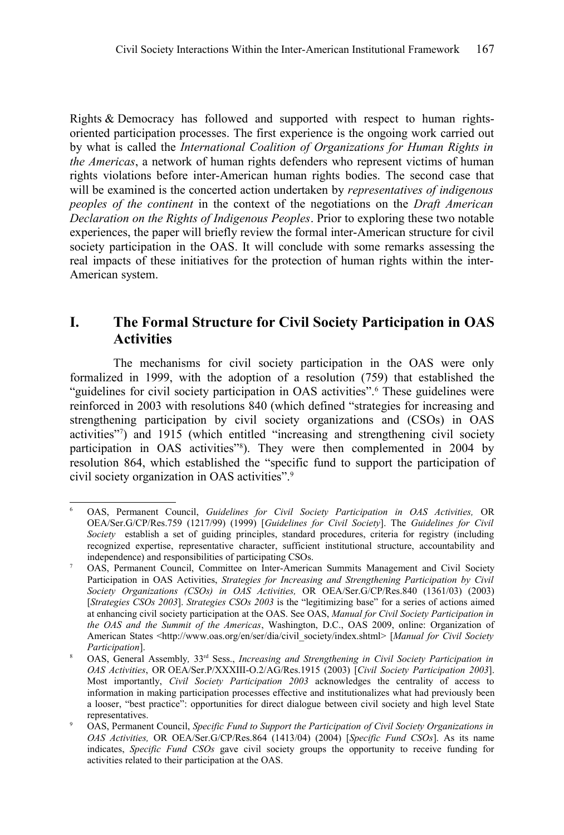Rights & Democracy has followed and supported with respect to human rightsoriented participation processes. The first experience is the ongoing work carried out by what is called the *International Coalition of Organizations for Human Rights in the Americas*, a network of human rights defenders who represent victims of human rights violations before inter-American human rights bodies. The second case that will be examined is the concerted action undertaken by *representatives of indigenous peoples of the continent* in the context of the negotiations on the *Draft American Declaration on the Rights of Indigenous Peoples*. Prior to exploring these two notable experiences, the paper will briefly review the formal inter-American structure for civil society participation in the OAS. It will conclude with some remarks assessing the real impacts of these initiatives for the protection of human rights within the inter-American system.

# **I. The Formal Structure for Civil Society Participation in OAS Activities**

The mechanisms for civil society participation in the OAS were only formalized in 1999, with the adoption of a resolution (759) that established the "guidelines for civil society participation in OAS activities".<sup>[6](#page-2-0)</sup> These guidelines were reinforced in 2003 with resolutions 840 (which defined "strategies for increasing and strengthening participation by civil society organizations and (CSOs) in OAS activities"[7](#page-2-1) ) and 1915 (which entitled "increasing and strengthening civil society participation in OAS activities<sup>"[8](#page-2-2)</sup>). They were then complemented in 2004 by resolution 864, which established the "specific fund to support the participation of civil society organization in OAS activities".[9](#page-2-3)

<span id="page-2-0"></span><sup>6</sup> OAS, Permanent Council, *Guidelines for Civil Society Participation in OAS Activities,* OR OEA/Ser.G/CP/Res.759 (1217/99) (1999) [*Guidelines for Civil Society*]. The *Guidelines for Civil Society* establish a set of guiding principles, standard procedures, criteria for registry (including recognized expertise, representative character, sufficient institutional structure, accountability and independence) and responsibilities of participating CSOs.

<span id="page-2-1"></span><sup>7</sup> OAS, Permanent Council, Committee on Inter-American Summits Management and Civil Society Participation in OAS Activities, *Strategies for Increasing and Strengthening Participation by Civil Society Organizations (CSOs) in OAS Activities,* OR OEA/Ser.G/CP/Res.840 (1361/03) (2003) [*Strategies CSOs 2003*]. *Strategies CSOs 2003* is the "legitimizing base" for a series of actions aimed at enhancing civil society participation at the OAS. See OAS, *Manual for Civil Society Participation in the OAS and the Summit of the Americas*, Washington, D.C., OAS 2009, online: Organization of American States <http://www.oas.org/en/ser/dia/civil\_society/index.shtml> [*Manual for Civil Society Participation*].

<span id="page-2-2"></span><sup>8</sup> OAS, General Assembly, 33<sup>rd</sup> Sess., *Increasing and Strengthening in Civil Society Participation in OAS Activities*, OR OEA/Ser.P/XXXIII-O.2/AG/Res.1915 (2003) [*Civil Society Participation 2003*]. Most importantly, *Civil Society Participation 2003* acknowledges the centrality of access to information in making participation processes effective and institutionalizes what had previously been a looser, "best practice": opportunities for direct dialogue between civil society and high level State representatives.

<span id="page-2-3"></span><sup>9</sup> OAS, Permanent Council, *Specific Fund to Support the Participation of Civil Society Organizations in OAS Activities,* OR OEA/Ser.G/CP/Res.864 (1413/04) (2004) [*Specific Fund CSOs*]. As its name indicates, *Specific Fund CSOs* gave civil society groups the opportunity to receive funding for activities related to their participation at the OAS.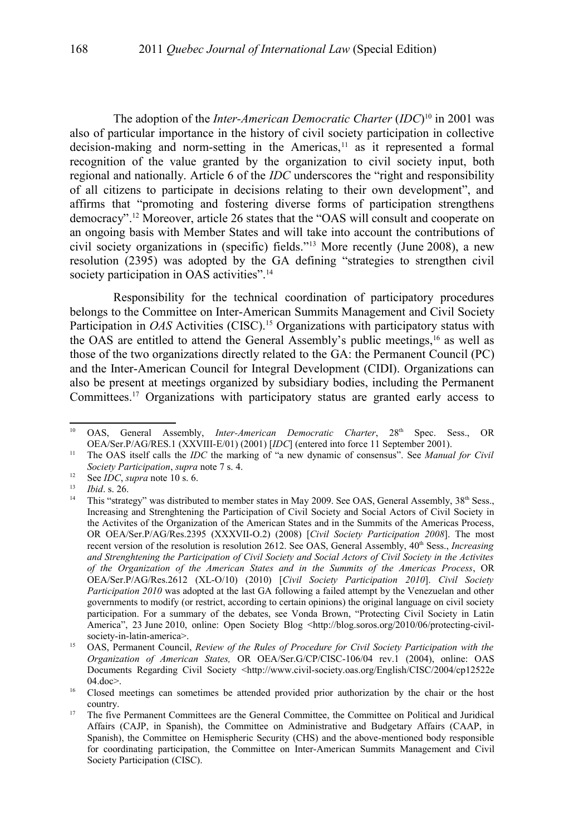The adoption of the *Inter-American Democratic Charter* (*IDC*) [10](#page-3-0) in 2001 was also of particular importance in the history of civil society participation in collective decision-making and norm-setting in the Americas,<sup>[11](#page-3-1)</sup> as it represented a formal recognition of the value granted by the organization to civil society input, both regional and nationally. Article 6 of the *IDC* underscores the "right and responsibility of all citizens to participate in decisions relating to their own development", and affirms that "promoting and fostering diverse forms of participation strengthens democracy". [12](#page-3-2) Moreover, article 26 states that the "OAS will consult and cooperate on an ongoing basis with Member States and will take into account the contributions of civil society organizations in (specific) fields."[13](#page-3-3) More recently (June 2008), a new resolution (2395) was adopted by the GA defining "strategies to strengthen civil society participation in OAS activities".<sup>[14](#page-3-4)</sup>

Responsibility for the technical coordination of participatory procedures belongs to the Committee on Inter-American Summits Management and Civil Society Participation in *OAS* Activities (CISC).<sup>[15](#page-3-5)</sup> Organizations with participatory status with the OAS are entitled to attend the General Assembly's public meetings,<sup>[16](#page-3-6)</sup> as well as those of the two organizations directly related to the GA: the Permanent Council (PC) and the Inter-American Council for Integral Development (CIDI). Organizations can also be present at meetings organized by subsidiary bodies, including the Permanent Committees.[17](#page-3-7) Organizations with participatory status are granted early access to

<span id="page-3-0"></span><sup>&</sup>lt;sup>10</sup> OAS, General Assembly, *Inter-American Democratic Charter*, 28<sup>th</sup> Spec. Sess., OR OEA/Ser.P/AG/RES.1 (XXVIII-E/01) (2001) [*IDC*] (entered into force 11 September 2001).

<span id="page-3-1"></span><sup>11</sup> The OAS itself calls the *IDC* the marking of "a new dynamic of consensus". See *Manual for Civil Society Participation*, *supra* note [7](#page-2-1) s. 4.

<span id="page-3-2"></span><sup>12</sup> See *IDC*, *supra* note [10](#page-3-0) s. 6.

<span id="page-3-3"></span> $13$  *Ibid.* s. 26.

<span id="page-3-4"></span>This "strategy" was distributed to member states in May 2009. See OAS, General Assembly, 38th Sess., Increasing and Strenghtening the Participation of Civil Society and Social Actors of Civil Society in the Activites of the Organization of the American States and in the Summits of the Americas Process, OR OEA/Ser.P/AG/Res.2395 (XXXVII-O.2) (2008) [*Civil Society Participation 2008*]. The most recent version of the resolution is resolution 2612. See OAS, General Assembly,  $40<sup>th</sup>$  Sess., *Increasing and Strenghtening the Participation of Civil Society and Social Actors of Civil Society in the Activites of the Organization of the American States and in the Summits of the Americas Process*, OR OEA/Ser.P/AG/Res.2612 (XL-O/10) (2010) [*Civil Society Participation 2010*]. *Civil Society Participation 2010* was adopted at the last GA following a failed attempt by the Venezuelan and other governments to modify (or restrict, according to certain opinions) the original language on civil society participation. For a summary of the debates, see Vonda Brown, "Protecting Civil Society in Latin America", 23 June 2010, online: Open Society Blog <http://blog.soros.org/2010/06/protecting-civilsociety-in-latin-america>.

<span id="page-3-5"></span><sup>&</sup>lt;sup>15</sup> OAS, Permanent Council, *Review of the Rules of Procedure for Civil Society Participation with the Organization of American States,* OR OEA/Ser.G/CP/CISC-106/04 rev.1 (2004), online: OAS Documents Regarding Civil Society <http://www.civil-society.oas.org/English/CISC/2004/cp12522e 04.doc>.

<span id="page-3-6"></span><sup>&</sup>lt;sup>16</sup> Closed meetings can sometimes be attended provided prior authorization by the chair or the host country.

<span id="page-3-7"></span><sup>&</sup>lt;sup>17</sup> The five Permanent Committees are the General Committee, the Committee on Political and Juridical Affairs (CAJP, in Spanish), the Committee on Administrative and Budgetary Affairs (CAAP, in Spanish), the Committee on Hemispheric Security (CHS) and the above-mentioned body responsible for coordinating participation, the Committee on Inter-American Summits Management and Civil Society Participation (CISC).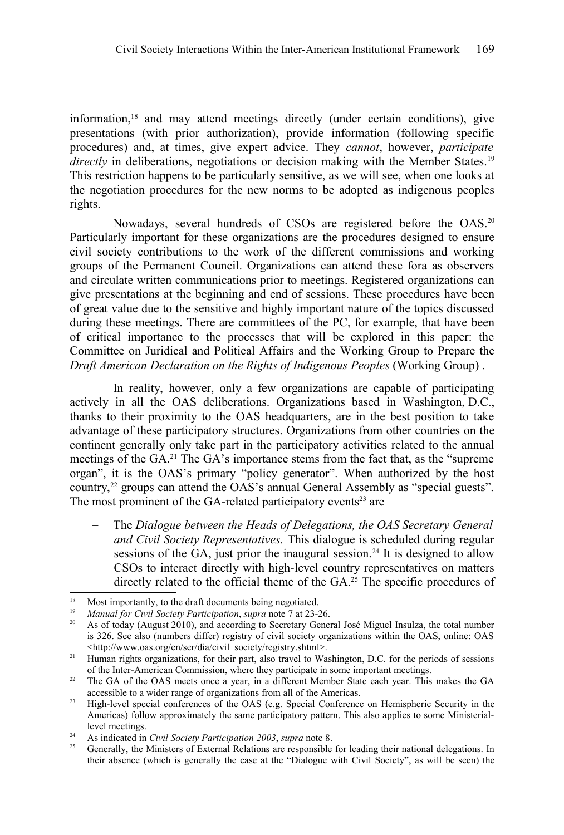information,[18](#page-4-0) and may attend meetings directly (under certain conditions), give presentations (with prior authorization), provide information (following specific procedures) and, at times, give expert advice. They *cannot*, however, *participate directly* in deliberations, negotiations or decision making with the Member States.<sup>[19](#page-4-1)</sup> This restriction happens to be particularly sensitive, as we will see, when one looks at the negotiation procedures for the new norms to be adopted as indigenous peoples rights.

Nowadays, several hundreds of CSOs are registered before the OAS.<sup>[20](#page-4-2)</sup> Particularly important for these organizations are the procedures designed to ensure civil society contributions to the work of the different commissions and working groups of the Permanent Council. Organizations can attend these fora as observers and circulate written communications prior to meetings. Registered organizations can give presentations at the beginning and end of sessions. These procedures have been of great value due to the sensitive and highly important nature of the topics discussed during these meetings. There are committees of the PC, for example, that have been of critical importance to the processes that will be explored in this paper: the Committee on Juridical and Political Affairs and the Working Group to Prepare the *Draft American Declaration on the Rights of Indigenous Peoples* (Working Group) .

In reality, however, only a few organizations are capable of participating actively in all the OAS deliberations. Organizations based in Washington, D.C., thanks to their proximity to the OAS headquarters, are in the best position to take advantage of these participatory structures. Organizations from other countries on the continent generally only take part in the participatory activities related to the annual meetings of the GA.[21](#page-4-3) The GA's importance stems from the fact that, as the "supreme organ", it is the OAS's primary "policy generator". When authorized by the host country,<sup>[22](#page-4-4)</sup> groups can attend the OAS's annual General Assembly as "special guests". The most prominent of the GA-related participatory events<sup>[23](#page-4-5)</sup> are

 The *Dialogue between the Heads of Delegations, the OAS Secretary General and Civil Society Representatives.* This dialogue is scheduled during regular sessions of the GA, just prior the inaugural session.<sup>[24](#page-4-6)</sup> It is designed to allow CSOs to interact directly with high-level country representatives on matters directly related to the official theme of the GA.<sup>[25](#page-4-7)</sup> The specific procedures of

<span id="page-4-0"></span><sup>&</sup>lt;sup>18</sup> Most importantly, to the draft documents being negotiated.<br><sup>19</sup> Manual for Civil Society Participation, supra note 7 at 23-3

<span id="page-4-1"></span><sup>19</sup> *Manual for Civil Society Participation*, *supra* note [7](#page-2-1) at 23-26.

<span id="page-4-2"></span><sup>20</sup> As of today (August 2010), and according to Secretary General José Miguel Insulza, the total number is 326. See also (numbers differ) registry of civil society organizations within the OAS, online: OAS <http://www.oas.org/en/ser/dia/civil\_society/registry.shtml>.

<span id="page-4-3"></span><sup>&</sup>lt;sup>21</sup> Human rights organizations, for their part, also travel to Washington, D.C. for the periods of sessions of the Inter-American Commission, where they participate in some important meetings.

<span id="page-4-4"></span><sup>&</sup>lt;sup>22</sup> The GA of the OAS meets once a year, in a different Member State each year. This makes the GA accessible to a wider range of organizations from all of the Americas.

<span id="page-4-5"></span><sup>&</sup>lt;sup>23</sup> High-level special conferences of the OAS (e.g. Special Conference on Hemispheric Security in the Americas) follow approximately the same participatory pattern. This also applies to some Ministeriallevel meetings.

<span id="page-4-6"></span><sup>24</sup> As indicated in *Civil Society Participation 2003*, *supra* note [8.](#page-2-2)

<span id="page-4-7"></span><sup>25</sup> Generally, the Ministers of External Relations are responsible for leading their national delegations. In their absence (which is generally the case at the "Dialogue with Civil Society", as will be seen) the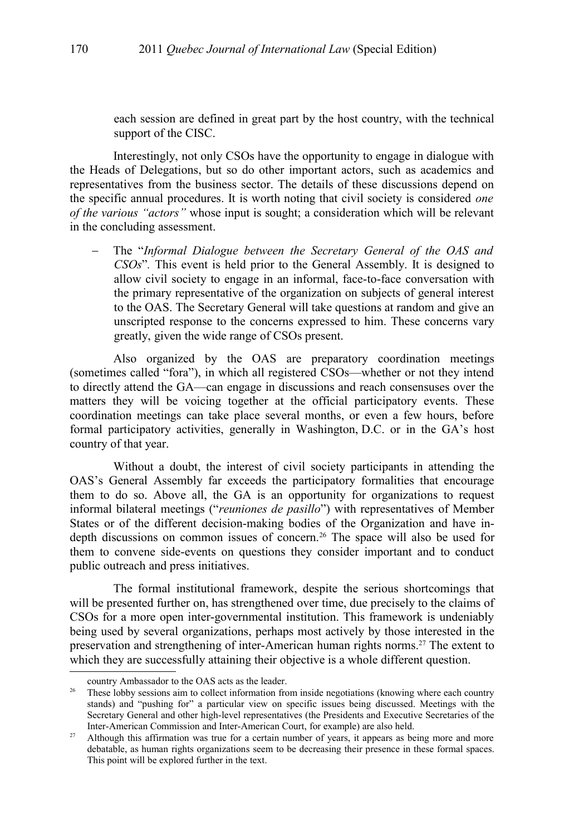each session are defined in great part by the host country, with the technical support of the CISC.

Interestingly, not only CSOs have the opportunity to engage in dialogue with the Heads of Delegations, but so do other important actors, such as academics and representatives from the business sector. The details of these discussions depend on the specific annual procedures. It is worth noting that civil society is considered *one of the various "actors"* whose input is sought; a consideration which will be relevant in the concluding assessment.

 The "*Informal Dialogue between the Secretary General of the OAS and CSOs*"*.* This event is held prior to the General Assembly. It is designed to allow civil society to engage in an informal, face-to-face conversation with the primary representative of the organization on subjects of general interest to the OAS. The Secretary General will take questions at random and give an unscripted response to the concerns expressed to him. These concerns vary greatly, given the wide range of CSOs present.

Also organized by the OAS are preparatory coordination meetings (sometimes called "fora"), in which all registered CSOs—whether or not they intend to directly attend the GA—can engage in discussions and reach consensuses over the matters they will be voicing together at the official participatory events. These coordination meetings can take place several months, or even a few hours, before formal participatory activities, generally in Washington, D.C. or in the GA's host country of that year.

Without a doubt, the interest of civil society participants in attending the OAS's General Assembly far exceeds the participatory formalities that encourage them to do so. Above all, the GA is an opportunity for organizations to request informal bilateral meetings ("*reuniones de pasillo*") with representatives of Member States or of the different decision-making bodies of the Organization and have indepth discussions on common issues of concern.[26](#page-5-0) The space will also be used for them to convene side-events on questions they consider important and to conduct public outreach and press initiatives.

The formal institutional framework, despite the serious shortcomings that will be presented further on, has strengthened over time, due precisely to the claims of CSOs for a more open inter-governmental institution. This framework is undeniably being used by several organizations, perhaps most actively by those interested in the preservation and strengthening of inter-American human rights norms.[27](#page-5-1) The extent to which they are successfully attaining their objective is a whole different question.

country Ambassador to the OAS acts as the leader.

<span id="page-5-0"></span><sup>&</sup>lt;sup>26</sup> These lobby sessions aim to collect information from inside negotiations (knowing where each country stands) and "pushing for" a particular view on specific issues being discussed. Meetings with the Secretary General and other high-level representatives (the Presidents and Executive Secretaries of the Inter-American Commission and Inter-American Court, for example) are also held.

<span id="page-5-1"></span><sup>&</sup>lt;sup>27</sup> Although this affirmation was true for a certain number of years, it appears as being more and more debatable, as human rights organizations seem to be decreasing their presence in these formal spaces. This point will be explored further in the text.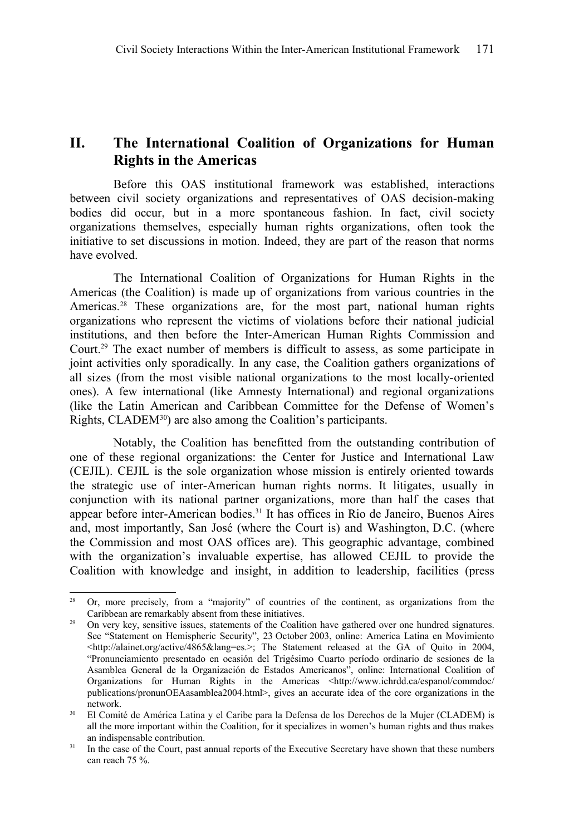## **II. The International Coalition of Organizations for Human Rights in the Americas**

Before this OAS institutional framework was established, interactions between civil society organizations and representatives of OAS decision-making bodies did occur, but in a more spontaneous fashion. In fact, civil society organizations themselves, especially human rights organizations, often took the initiative to set discussions in motion. Indeed, they are part of the reason that norms have evolved.

The International Coalition of Organizations for Human Rights in the Americas (the Coalition) is made up of organizations from various countries in the Americas.<sup>[28](#page-6-0)</sup> These organizations are, for the most part, national human rights organizations who represent the victims of violations before their national judicial institutions, and then before the Inter-American Human Rights Commission and Court.[29](#page-6-1) The exact number of members is difficult to assess, as some participate in joint activities only sporadically. In any case, the Coalition gathers organizations of all sizes (from the most visible national organizations to the most locally-oriented ones). A few international (like Amnesty International) and regional organizations (like the Latin American and Caribbean Committee for the Defense of Women's Rights, CLADEM<sup>[30](#page-6-2)</sup>) are also among the Coalition's participants.

Notably, the Coalition has benefitted from the outstanding contribution of one of these regional organizations: the Center for Justice and International Law (CEJIL). CEJIL is the sole organization whose mission is entirely oriented towards the strategic use of inter-American human rights norms. It litigates, usually in conjunction with its national partner organizations, more than half the cases that appear before inter-American bodies.[31](#page-6-3) It has offices in Rio de Janeiro, Buenos Aires and, most importantly, San José (where the Court is) and Washington, D.C. (where the Commission and most OAS offices are). This geographic advantage, combined with the organization's invaluable expertise, has allowed CEJIL to provide the Coalition with knowledge and insight, in addition to leadership, facilities (press

<span id="page-6-0"></span><sup>&</sup>lt;sup>28</sup> Or, more precisely, from a "majority" of countries of the continent, as organizations from the Caribbean are remarkably absent from these initiatives.

<span id="page-6-1"></span><sup>&</sup>lt;sup>29</sup> On very key, sensitive issues, statements of the Coalition have gathered over one hundred signatures. See "Statement on Hemispheric Security", 23 October 2003, online: America Latina en Movimiento  $\lt$ http://alainet.org/active/4865&lang=es.>; The Statement released at the GA of Quito in 2004, "Pronunciamiento presentado en ocasión del Trigésimo Cuarto período ordinario de sesiones de la Asamblea General de la Organización de Estados Americanos", online: International Coalition of Organizations for Human Rights in the Americas <http://www.ichrdd.ca/espanol/commdoc/ publications/pronunOEAasamblea2004.html>, gives an accurate idea of the core organizations in the network.

<span id="page-6-2"></span><sup>&</sup>lt;sup>30</sup> El Comité de América Latina y el Caribe para la Defensa de los Derechos de la Mujer (CLADEM) is all the more important within the Coalition, for it specializes in women's human rights and thus makes an indispensable contribution.

<span id="page-6-3"></span><sup>&</sup>lt;sup>31</sup> In the case of the Court, past annual reports of the Executive Secretary have shown that these numbers can reach 75 %.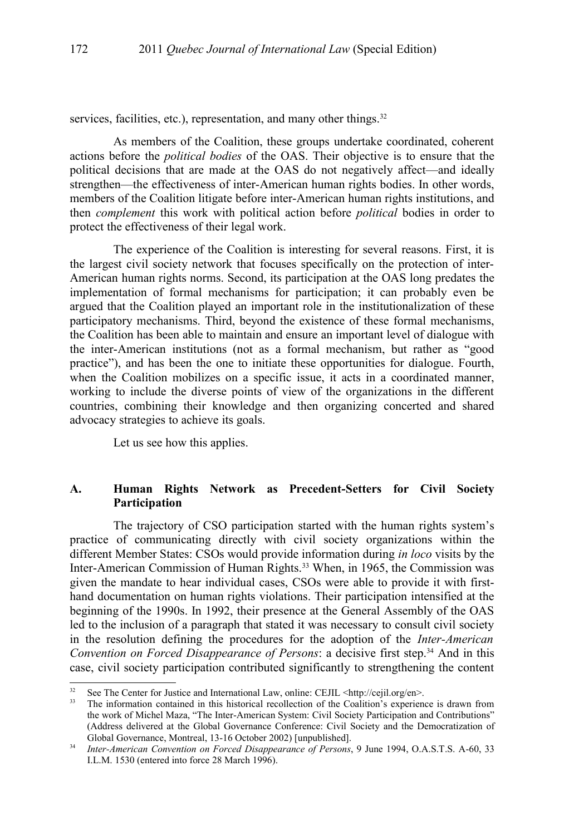services, facilities, etc.), representation, and many other things.<sup>[32](#page-7-0)</sup>

As members of the Coalition, these groups undertake coordinated, coherent actions before the *political bodies* of the OAS. Their objective is to ensure that the political decisions that are made at the OAS do not negatively affect—and ideally strengthen—the effectiveness of inter-American human rights bodies. In other words, members of the Coalition litigate before inter-American human rights institutions, and then *complement* this work with political action before *political* bodies in order to protect the effectiveness of their legal work.

The experience of the Coalition is interesting for several reasons. First, it is the largest civil society network that focuses specifically on the protection of inter-American human rights norms. Second, its participation at the OAS long predates the implementation of formal mechanisms for participation; it can probably even be argued that the Coalition played an important role in the institutionalization of these participatory mechanisms. Third, beyond the existence of these formal mechanisms, the Coalition has been able to maintain and ensure an important level of dialogue with the inter-American institutions (not as a formal mechanism, but rather as "good practice"), and has been the one to initiate these opportunities for dialogue. Fourth, when the Coalition mobilizes on a specific issue, it acts in a coordinated manner, working to include the diverse points of view of the organizations in the different countries, combining their knowledge and then organizing concerted and shared advocacy strategies to achieve its goals.

Let us see how this applies.

### **A. Human Rights Network as Precedent-Setters for Civil Society Participation**

The trajectory of CSO participation started with the human rights system's practice of communicating directly with civil society organizations within the different Member States: CSOs would provide information during *in loco* visits by the Inter-American Commission of Human Rights.<sup>[33](#page-7-1)</sup> When, in 1965, the Commission was given the mandate to hear individual cases, CSOs were able to provide it with firsthand documentation on human rights violations. Their participation intensified at the beginning of the 1990s. In 1992, their presence at the General Assembly of the OAS led to the inclusion of a paragraph that stated it was necessary to consult civil society in the resolution defining the procedures for the adoption of the *Inter-American Convention on Forced Disappearance of Persons:* a decisive first step.<sup>[34](#page-7-2)</sup> And in this case, civil society participation contributed significantly to strengthening the content

<span id="page-7-0"></span><sup>&</sup>lt;sup>32</sup> See The Center for Justice and International Law, online: CEJIL <http://cejil.org/en>.<br><sup>33</sup> The information contained in this historical monollection of the Coolition's automion

<span id="page-7-1"></span><sup>33</sup> The information contained in this historical recollection of the Coalition's experience is drawn from the work of Michel Maza, "The Inter-American System: Civil Society Participation and Contributions" (Address delivered at the Global Governance Conference: Civil Society and the Democratization of Global Governance, Montreal, 13-16 October 2002) [unpublished].

<span id="page-7-2"></span><sup>34</sup> *Inter-American Convention on Forced Disappearance of Persons*, 9 June 1994, O.A.S.T.S. A-60, 33 I.L.M. 1530 (entered into force 28 March 1996).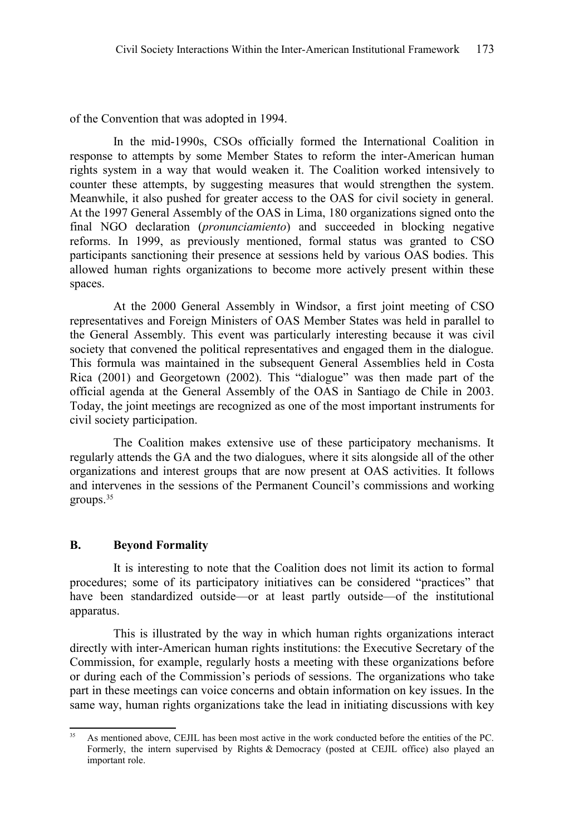of the Convention that was adopted in 1994.

In the mid-1990s, CSOs officially formed the International Coalition in response to attempts by some Member States to reform the inter-American human rights system in a way that would weaken it. The Coalition worked intensively to counter these attempts, by suggesting measures that would strengthen the system. Meanwhile, it also pushed for greater access to the OAS for civil society in general. At the 1997 General Assembly of the OAS in Lima, 180 organizations signed onto the final NGO declaration (*pronunciamiento*) and succeeded in blocking negative reforms. In 1999, as previously mentioned, formal status was granted to CSO participants sanctioning their presence at sessions held by various OAS bodies. This allowed human rights organizations to become more actively present within these spaces.

At the 2000 General Assembly in Windsor, a first joint meeting of CSO representatives and Foreign Ministers of OAS Member States was held in parallel to the General Assembly. This event was particularly interesting because it was civil society that convened the political representatives and engaged them in the dialogue. This formula was maintained in the subsequent General Assemblies held in Costa Rica (2001) and Georgetown (2002). This "dialogue" was then made part of the official agenda at the General Assembly of the OAS in Santiago de Chile in 2003. Today, the joint meetings are recognized as one of the most important instruments for civil society participation.

The Coalition makes extensive use of these participatory mechanisms. It regularly attends the GA and the two dialogues, where it sits alongside all of the other organizations and interest groups that are now present at OAS activities. It follows and intervenes in the sessions of the Permanent Council's commissions and working groups.[35](#page-8-0)

#### **B. Beyond Formality**

It is interesting to note that the Coalition does not limit its action to formal procedures; some of its participatory initiatives can be considered "practices" that have been standardized outside—or at least partly outside—of the institutional apparatus.

This is illustrated by the way in which human rights organizations interact directly with inter-American human rights institutions: the Executive Secretary of the Commission, for example, regularly hosts a meeting with these organizations before or during each of the Commission's periods of sessions. The organizations who take part in these meetings can voice concerns and obtain information on key issues. In the same way, human rights organizations take the lead in initiating discussions with key

<span id="page-8-0"></span><sup>&</sup>lt;sup>35</sup> As mentioned above, CEJIL has been most active in the work conducted before the entities of the PC. Formerly, the intern supervised by Rights & Democracy (posted at CEJIL office) also played an important role.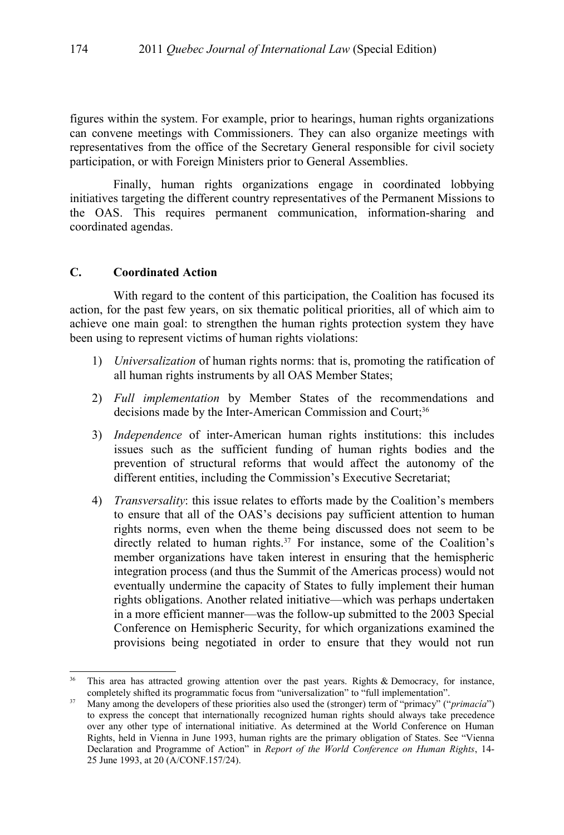figures within the system. For example, prior to hearings, human rights organizations can convene meetings with Commissioners. They can also organize meetings with representatives from the office of the Secretary General responsible for civil society participation, or with Foreign Ministers prior to General Assemblies.

Finally, human rights organizations engage in coordinated lobbying initiatives targeting the different country representatives of the Permanent Missions to the OAS. This requires permanent communication, information-sharing and coordinated agendas.

#### **C. Coordinated Action**

With regard to the content of this participation, the Coalition has focused its action, for the past few years, on six thematic political priorities, all of which aim to achieve one main goal: to strengthen the human rights protection system they have been using to represent victims of human rights violations:

- 1) *Universalization* of human rights norms: that is, promoting the ratification of all human rights instruments by all OAS Member States;
- 2) *Full implementation* by Member States of the recommendations and decisions made by the Inter-American Commission and Court;<sup>[36](#page-9-0)</sup>
- 3) *Independence* of inter-American human rights institutions: this includes issues such as the sufficient funding of human rights bodies and the prevention of structural reforms that would affect the autonomy of the different entities, including the Commission's Executive Secretariat;
- 4) *Transversality*: this issue relates to efforts made by the Coalition's members to ensure that all of the OAS's decisions pay sufficient attention to human rights norms, even when the theme being discussed does not seem to be directly related to human rights.[37](#page-9-1) For instance, some of the Coalition's member organizations have taken interest in ensuring that the hemispheric integration process (and thus the Summit of the Americas process) would not eventually undermine the capacity of States to fully implement their human rights obligations. Another related initiative—which was perhaps undertaken in a more efficient manner—was the follow-up submitted to the 2003 Special Conference on Hemispheric Security, for which organizations examined the provisions being negotiated in order to ensure that they would not run

<span id="page-9-0"></span><sup>&</sup>lt;sup>36</sup> This area has attracted growing attention over the past years. Rights & Democracy, for instance, completely shifted its programmatic focus from "universalization" to "full implementation".

<span id="page-9-1"></span><sup>37</sup> Many among the developers of these priorities also used the (stronger) term of "primacy" ("*primacía*") to express the concept that internationally recognized human rights should always take precedence over any other type of international initiative. As determined at the World Conference on Human Rights, held in Vienna in June 1993, human rights are the primary obligation of States. See "Vienna Declaration and Programme of Action" in *Report of the World Conference on Human Rights*, 14- 25 June 1993, at 20 (A/CONF.157/24).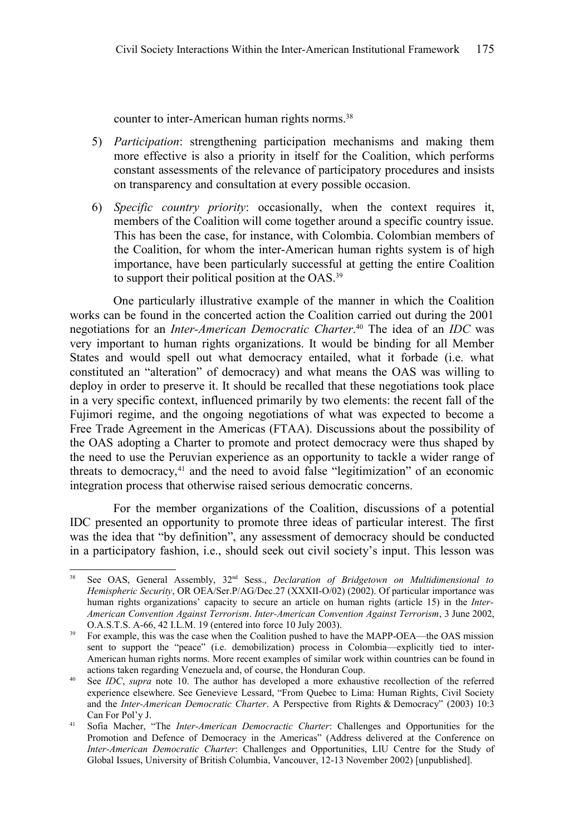counter to inter-American human rights norms.<sup>[38](#page-10-0)</sup>

- 5) *Participation*: strengthening participation mechanisms and making them more effective is also a priority in itself for the Coalition, which performs constant assessments of the relevance of participatory procedures and insists on transparency and consultation at every possible occasion.
- 6) *Specific country priority*: occasionally, when the context requires it, members of the Coalition will come together around a specific country issue. This has been the case, for instance, with Colombia. Colombian members of the Coalition, for whom the inter-American human rights system is of high importance, have been particularly successful at getting the entire Coalition to support their political position at the OAS.[39](#page-10-1)

One particularly illustrative example of the manner in which the Coalition works can be found in the concerted action the Coalition carried out during the 2001 negotiations for an *Inter-American Democratic Charter*. [40](#page-10-2) The idea of an *IDC* was very important to human rights organizations. It would be binding for all Member States and would spell out what democracy entailed, what it forbade (i.e. what constituted an "alteration" of democracy) and what means the OAS was willing to deploy in order to preserve it. It should be recalled that these negotiations took place in a very specific context, influenced primarily by two elements: the recent fall of the Fujimori regime, and the ongoing negotiations of what was expected to become a Free Trade Agreement in the Americas (FTAA). Discussions about the possibility of the OAS adopting a Charter to promote and protect democracy were thus shaped by the need to use the Peruvian experience as an opportunity to tackle a wider range of threats to democracy, $41$  and the need to avoid false "legitimization" of an economic integration process that otherwise raised serious democratic concerns.

For the member organizations of the Coalition, discussions of a potential IDC presented an opportunity to promote three ideas of particular interest. The first was the idea that "by definition", any assessment of democracy should be conducted in a participatory fashion, i.e., should seek out civil society's input. This lesson was

<span id="page-10-0"></span><sup>38</sup> See OAS, General Assembly, 32nd Sess., *Declaration of Bridgetown on Multidimensional to Hemispheric Security*, OR OEA/Ser.P/AG/Dec.27 (XXXII-O/02) (2002). Of particular importance was human rights organizations' capacity to secure an article on human rights (article 15) in the *Inter-American Convention Against Terrorism*. *Inter-American Convention Against Terrorism*, 3 June 2002, O.A.S.T.S. A-66, 42 I.L.M. 19 (entered into force 10 July 2003).

<span id="page-10-1"></span><sup>&</sup>lt;sup>39</sup> For example, this was the case when the Coalition pushed to have the MAPP-OEA—the OAS mission sent to support the "peace" (i.e. demobilization) process in Colombia—explicitly tied to inter-American human rights norms. More recent examples of similar work within countries can be found in actions taken regarding Venezuela and, of course, the Honduran Coup.

<span id="page-10-2"></span><sup>40</sup> See *IDC*, *supra* note [10.](#page-3-0) The author has developed a more exhaustive recollection of the referred experience elsewhere. See Genevieve Lessard, "From Quebec to Lima: Human Rights, Civil Society and the *Inter-American Democratic Charter*. A Perspective from Rights & Democracy" (2003) 10:3 Can For Pol'y J.

<span id="page-10-3"></span><sup>41</sup> Sofia Macher, "The *Inter-American Democractic Charter*: Challenges and Opportunities for the Promotion and Defence of Democracy in the Americas" (Address delivered at the Conference on *Inter-American Democratic Charter*: Challenges and Opportunities, LIU Centre for the Study of Global Issues, University of British Columbia, Vancouver, 12-13 November 2002) [unpublished].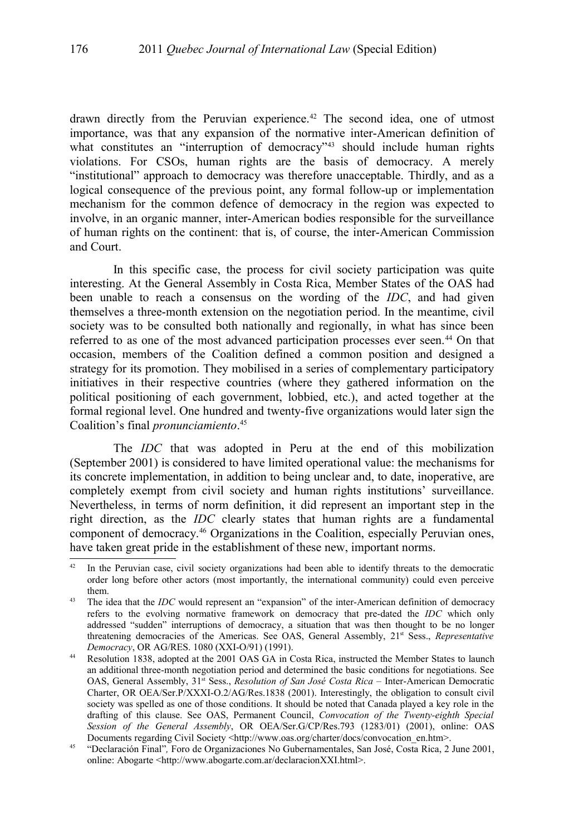drawn directly from the Peruvian experience.<sup>[42](#page-11-0)</sup> The second idea, one of utmost importance, was that any expansion of the normative inter-American definition of what constitutes an "interruption of democracy"<sup>[43](#page-11-1)</sup> should include human rights violations. For CSOs, human rights are the basis of democracy. A merely "institutional" approach to democracy was therefore unacceptable. Thirdly, and as a logical consequence of the previous point, any formal follow-up or implementation mechanism for the common defence of democracy in the region was expected to involve, in an organic manner, inter-American bodies responsible for the surveillance of human rights on the continent: that is, of course, the inter-American Commission and Court.

In this specific case, the process for civil society participation was quite interesting. At the General Assembly in Costa Rica, Member States of the OAS had been unable to reach a consensus on the wording of the *IDC*, and had given themselves a three-month extension on the negotiation period. In the meantime, civil society was to be consulted both nationally and regionally, in what has since been referred to as one of the most advanced participation processes ever seen.[44](#page-11-2) On that occasion, members of the Coalition defined a common position and designed a strategy for its promotion. They mobilised in a series of complementary participatory initiatives in their respective countries (where they gathered information on the political positioning of each government, lobbied, etc.), and acted together at the formal regional level. One hundred and twenty-five organizations would later sign the Coalition's final *pronunciamiento*. [45](#page-11-3)

The *IDC* that was adopted in Peru at the end of this mobilization (September 2001) is considered to have limited operational value: the mechanisms for its concrete implementation, in addition to being unclear and, to date, inoperative, are completely exempt from civil society and human rights institutions' surveillance. Nevertheless, in terms of norm definition, it did represent an important step in the right direction, as the *IDC* clearly states that human rights are a fundamental component of democracy.[46](#page-12-0) Organizations in the Coalition, especially Peruvian ones, have taken great pride in the establishment of these new, important norms.

<span id="page-11-0"></span> $42$  In the Peruvian case, civil society organizations had been able to identify threats to the democratic order long before other actors (most importantly, the international community) could even perceive them.

<span id="page-11-1"></span><sup>43</sup> The idea that the *IDC* would represent an "expansion" of the inter-American definition of democracy refers to the evolving normative framework on democracy that pre-dated the *IDC* which only addressed "sudden" interruptions of democracy, a situation that was then thought to be no longer threatening democracies of the Americas. See OAS, General Assembly, 21<sup>st</sup> Sess., *Representative Democracy*, OR AG/RES. 1080 (XXI-O/91) (1991).

<span id="page-11-2"></span><sup>&</sup>lt;sup>44</sup> Resolution 1838, adopted at the 2001 OAS GA in Costa Rica, instructed the Member States to launch an additional three-month negotiation period and determined the basic conditions for negotiations. See OAS, General Assembly, 31<sup>st</sup> Sess., *Resolution of San José Costa Rica* – Inter-American Democratic Charter, OR OEA/Ser.P/XXXI-O.2/AG/Res.1838 (2001). Interestingly, the obligation to consult civil society was spelled as one of those conditions. It should be noted that Canada played a key role in the drafting of this clause. See OAS, Permanent Council, *Convocation of the Twenty-eighth Special Session of the General Assembly*, OR OEA/Ser.G/CP/Res.793 (1283/01) (2001), online: OAS Documents regarding Civil Society <http://www.oas.org/charter/docs/convocation\_en.htm>.

<span id="page-11-3"></span><sup>45</sup> "Declaración Final"*,* Foro de Organizaciones No Gubernamentales, San José, Costa Rica, 2 June 2001, online: Abogarte <http://www.abogarte.com.ar/declaracionXXI.html>.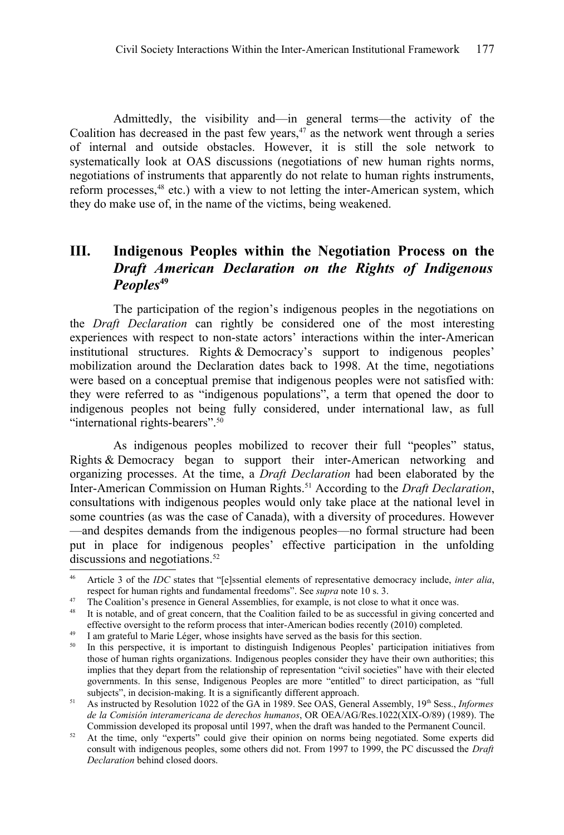Admittedly, the visibility and—in general terms—the activity of the Coalition has decreased in the past few years, $47$  as the network went through a series of internal and outside obstacles. However, it is still the sole network to systematically look at OAS discussions (negotiations of new human rights norms, negotiations of instruments that apparently do not relate to human rights instruments, reform processes,<sup>[48](#page-12-2)</sup> etc.) with a view to not letting the inter-American system, which they do make use of, in the name of the victims, being weakened.

# **III. Indigenous Peoples within the Negotiation Process on the** *Draft American Declaration on the Rights of Indigenous Peoples***[49](#page-12-3)**

The participation of the region's indigenous peoples in the negotiations on the *Draft Declaration* can rightly be considered one of the most interesting experiences with respect to non-state actors' interactions within the inter-American institutional structures. Rights & Democracy's support to indigenous peoples' mobilization around the Declaration dates back to 1998. At the time, negotiations were based on a conceptual premise that indigenous peoples were not satisfied with: they were referred to as "indigenous populations", a term that opened the door to indigenous peoples not being fully considered, under international law, as full "international rights-bearers".<sup>[50](#page-12-4)</sup>

As indigenous peoples mobilized to recover their full "peoples" status, Rights & Democracy began to support their inter-American networking and organizing processes. At the time, a *Draft Declaration* had been elaborated by the Inter-American Commission on Human Rights.[51](#page-12-5) According to the *Draft Declaration*, consultations with indigenous peoples would only take place at the national level in some countries (as was the case of Canada), with a diversity of procedures. However —and despites demands from the indigenous peoples—no formal structure had been put in place for indigenous peoples' effective participation in the unfolding discussions and negotiations.<sup>[52](#page-12-6)</sup>

<span id="page-12-0"></span><sup>46</sup> Article 3 of the *IDC* states that "[e]ssential elements of representative democracy include, *inter alia*, respect for human rights and fundamental freedoms". See *supra* note [10](#page-3-0) s. 3.

<span id="page-12-1"></span><sup>&</sup>lt;sup>47</sup> The Coalition's presence in General Assemblies, for example, is not close to what it once was.<br><sup>48</sup> It is notable, and of great concern, that the Coalition failed to be as successful in giving conce

<span id="page-12-2"></span>It is notable, and of great concern, that the Coalition failed to be as successful in giving concerted and effective oversight to the reform process that inter-American bodies recently (2010) completed.

<span id="page-12-3"></span><sup>&</sup>lt;sup>49</sup> I am grateful to Marie Léger, whose insights have served as the basis for this section.<br><sup>50</sup> In this nerspective it is important to distinguish Indigenous Peoples' participation

<span id="page-12-4"></span><sup>50</sup> In this perspective, it is important to distinguish Indigenous Peoples' participation initiatives from those of human rights organizations. Indigenous peoples consider they have their own authorities; this implies that they depart from the relationship of representation "civil societies" have with their elected governments. In this sense, Indigenous Peoples are more "entitled" to direct participation, as "full subjects", in decision-making. It is a significantly different approach.

<span id="page-12-5"></span><sup>51</sup> As instructed by Resolution 1022 of the GA in 1989. See OAS, General Assembly, 19th Sess., *Informes de la Comisión interamericana de derechos humanos*, OR OEA/AG/Res.1022(XIX-O/89) (1989). The Commission developed its proposal until 1997, when the draft was handed to the Permanent Council.

<span id="page-12-6"></span><sup>&</sup>lt;sup>52</sup> At the time, only "experts" could give their opinion on norms being negotiated. Some experts did consult with indigenous peoples, some others did not. From 1997 to 1999, the PC discussed the *Draft Declaration* behind closed doors.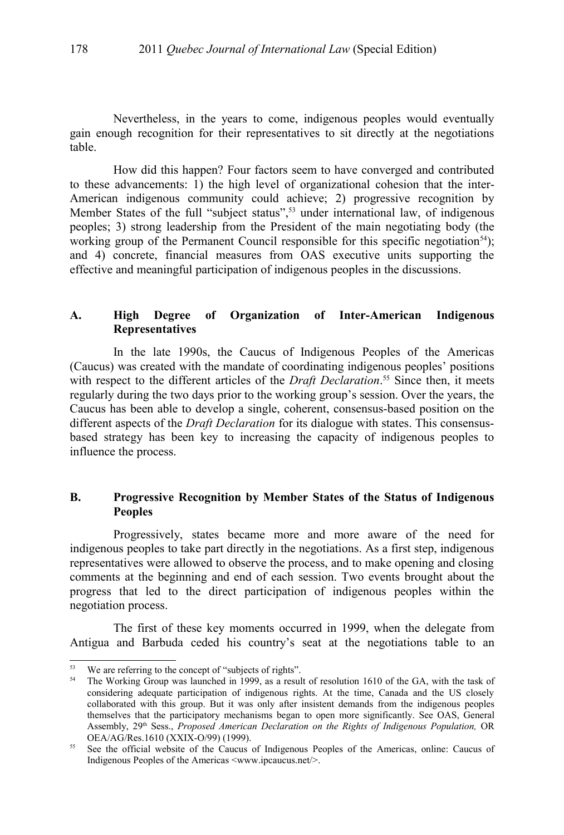Nevertheless, in the years to come, indigenous peoples would eventually gain enough recognition for their representatives to sit directly at the negotiations table.

How did this happen? Four factors seem to have converged and contributed to these advancements: 1) the high level of organizational cohesion that the inter-American indigenous community could achieve; 2) progressive recognition by Member States of the full "subject status",<sup>[53](#page-13-0)</sup> under international law, of indigenous peoples; 3) strong leadership from the President of the main negotiating body (the working group of the Permanent Council responsible for this specific negotiation<sup>[54](#page-13-1)</sup>); and 4) concrete, financial measures from OAS executive units supporting the effective and meaningful participation of indigenous peoples in the discussions.

### **A. High Degree of Organization of Inter-American Indigenous Representatives**

In the late 1990s, the Caucus of Indigenous Peoples of the Americas (Caucus) was created with the mandate of coordinating indigenous peoples' positions with respect to the different articles of the *Draft Declaration*.<sup>[55](#page-13-2)</sup> Since then, it meets regularly during the two days prior to the working group's session. Over the years, the Caucus has been able to develop a single, coherent, consensus-based position on the different aspects of the *Draft Declaration* for its dialogue with states. This consensusbased strategy has been key to increasing the capacity of indigenous peoples to influence the process.

#### **B. Progressive Recognition by Member States of the Status of Indigenous Peoples**

Progressively, states became more and more aware of the need for indigenous peoples to take part directly in the negotiations. As a first step, indigenous representatives were allowed to observe the process, and to make opening and closing comments at the beginning and end of each session. Two events brought about the progress that led to the direct participation of indigenous peoples within the negotiation process.

The first of these key moments occurred in 1999, when the delegate from Antigua and Barbuda ceded his country's seat at the negotiations table to an

<span id="page-13-0"></span><sup>&</sup>lt;sup>53</sup> We are referring to the concept of "subjects of rights".

<span id="page-13-1"></span><sup>&</sup>lt;sup>54</sup> The Working Group was launched in 1999, as a result of resolution 1610 of the GA, with the task of considering adequate participation of indigenous rights. At the time, Canada and the US closely collaborated with this group. But it was only after insistent demands from the indigenous peoples themselves that the participatory mechanisms began to open more significantly. See OAS, General Assembly, 29th Sess., *Proposed American Declaration on the Rights of Indigenous Population,* OR OEA/AG/Res.1610 (XXIX-O/99) (1999).

<span id="page-13-2"></span><sup>&</sup>lt;sup>55</sup> See the official website of the Caucus of Indigenous Peoples of the Americas, online: Caucus of Indigenous Peoples of the Americas <www.ipcaucus.net/>.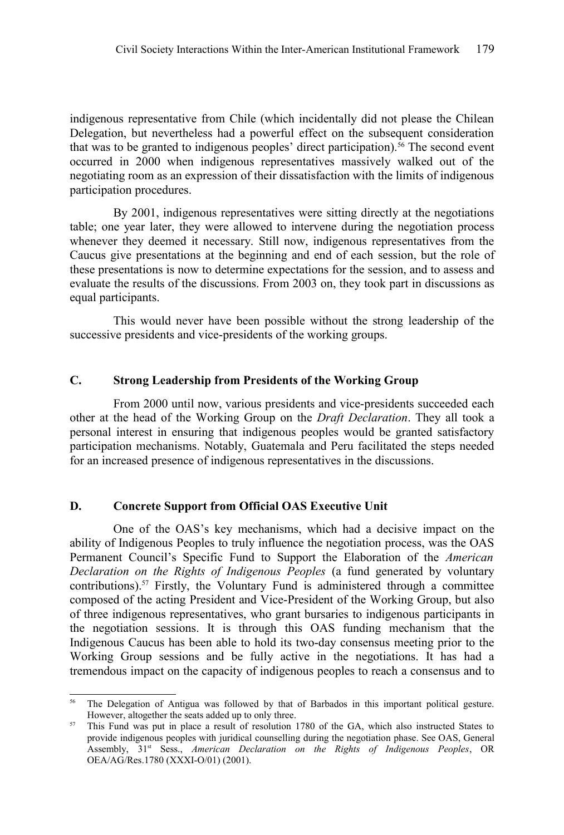indigenous representative from Chile (which incidentally did not please the Chilean Delegation, but nevertheless had a powerful effect on the subsequent consideration that was to be granted to indigenous peoples' direct participation).<sup>[56](#page-14-0)</sup> The second event occurred in 2000 when indigenous representatives massively walked out of the negotiating room as an expression of their dissatisfaction with the limits of indigenous participation procedures.

By 2001, indigenous representatives were sitting directly at the negotiations table; one year later, they were allowed to intervene during the negotiation process whenever they deemed it necessary. Still now, indigenous representatives from the Caucus give presentations at the beginning and end of each session, but the role of these presentations is now to determine expectations for the session, and to assess and evaluate the results of the discussions. From 2003 on, they took part in discussions as equal participants.

This would never have been possible without the strong leadership of the successive presidents and vice-presidents of the working groups.

### **C. Strong Leadership from Presidents of the Working Group**

From 2000 until now, various presidents and vice-presidents succeeded each other at the head of the Working Group on the *Draft Declaration*. They all took a personal interest in ensuring that indigenous peoples would be granted satisfactory participation mechanisms. Notably, Guatemala and Peru facilitated the steps needed for an increased presence of indigenous representatives in the discussions.

#### **D. Concrete Support from Official OAS Executive Unit**

One of the OAS's key mechanisms, which had a decisive impact on the ability of Indigenous Peoples to truly influence the negotiation process, was the OAS Permanent Council's Specific Fund to Support the Elaboration of the *American Declaration on the Rights of Indigenous Peoples* (a fund generated by voluntary contributions).[57](#page-14-1) Firstly, the Voluntary Fund is administered through a committee composed of the acting President and Vice-President of the Working Group, but also of three indigenous representatives, who grant bursaries to indigenous participants in the negotiation sessions. It is through this OAS funding mechanism that the Indigenous Caucus has been able to hold its two-day consensus meeting prior to the Working Group sessions and be fully active in the negotiations. It has had a tremendous impact on the capacity of indigenous peoples to reach a consensus and to

<span id="page-14-0"></span><sup>&</sup>lt;sup>56</sup> The Delegation of Antigua was followed by that of Barbados in this important political gesture. However, altogether the seats added up to only three.

<span id="page-14-1"></span><sup>&</sup>lt;sup>57</sup> This Fund was put in place a result of resolution 1780 of the GA, which also instructed States to provide indigenous peoples with juridical counselling during the negotiation phase. See OAS, General Assembly, 31st Sess., *American Declaration on the Rights of Indigenous Peoples*, OR OEA/AG/Res.1780 (XXXI-O/01) (2001).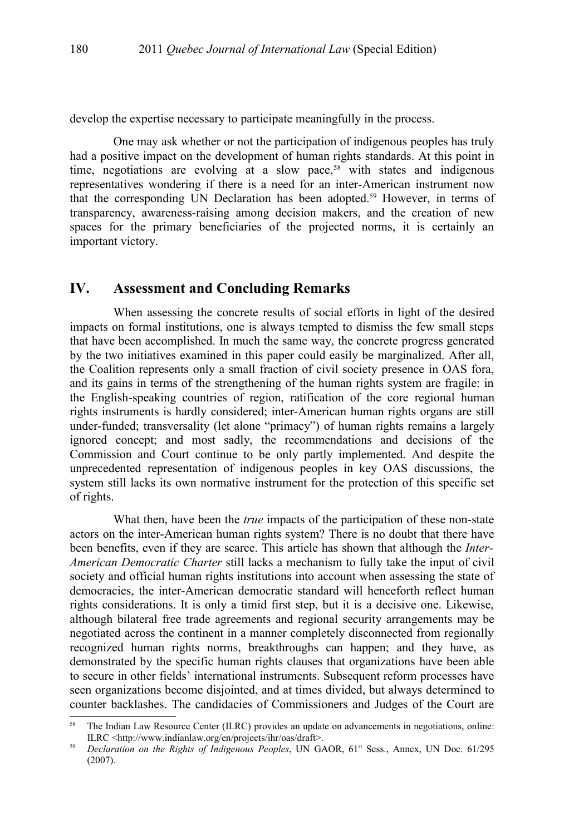develop the expertise necessary to participate meaningfully in the process.

One may ask whether or not the participation of indigenous peoples has truly had a positive impact on the development of human rights standards. At this point in time, negotiations are evolving at a slow pace,<sup>[58](#page-15-0)</sup> with states and indigenous representatives wondering if there is a need for an inter-American instrument now that the corresponding UN Declaration has been adopted.[59](#page-15-1) However, in terms of transparency, awareness-raising among decision makers, and the creation of new spaces for the primary beneficiaries of the projected norms, it is certainly an important victory.

## **IV. Assessment and Concluding Remarks**

When assessing the concrete results of social efforts in light of the desired impacts on formal institutions, one is always tempted to dismiss the few small steps that have been accomplished. In much the same way, the concrete progress generated by the two initiatives examined in this paper could easily be marginalized. After all, the Coalition represents only a small fraction of civil society presence in OAS fora, and its gains in terms of the strengthening of the human rights system are fragile: in the English-speaking countries of region, ratification of the core regional human rights instruments is hardly considered; inter-American human rights organs are still under-funded; transversality (let alone "primacy") of human rights remains a largely ignored concept; and most sadly, the recommendations and decisions of the Commission and Court continue to be only partly implemented. And despite the unprecedented representation of indigenous peoples in key OAS discussions, the system still lacks its own normative instrument for the protection of this specific set of rights.

What then, have been the *true* impacts of the participation of these non-state actors on the inter-American human rights system? There is no doubt that there have been benefits, even if they are scarce. This article has shown that although the *Inter-American Democratic Charter* still lacks a mechanism to fully take the input of civil society and official human rights institutions into account when assessing the state of democracies, the inter-American democratic standard will henceforth reflect human rights considerations. It is only a timid first step, but it is a decisive one. Likewise, although bilateral free trade agreements and regional security arrangements may be negotiated across the continent in a manner completely disconnected from regionally recognized human rights norms, breakthroughs can happen; and they have, as demonstrated by the specific human rights clauses that organizations have been able to secure in other fields' international instruments. Subsequent reform processes have seen organizations become disjointed, and at times divided, but always determined to counter backlashes. The candidacies of Commissioners and Judges of the Court are

<span id="page-15-0"></span><sup>58</sup> The Indian Law Resource Center (ILRC) provides an update on advancements in negotiations, online: ILRC <http://www.indianlaw.org/en/projects/ihr/oas/draft>.

<span id="page-15-1"></span><sup>&</sup>lt;sup>59</sup> *Declaration on the Rights of Indigenous Peoples*, UN GAOR, 61<sup>st</sup> Sess., Annex, UN Doc. 61/295 (2007).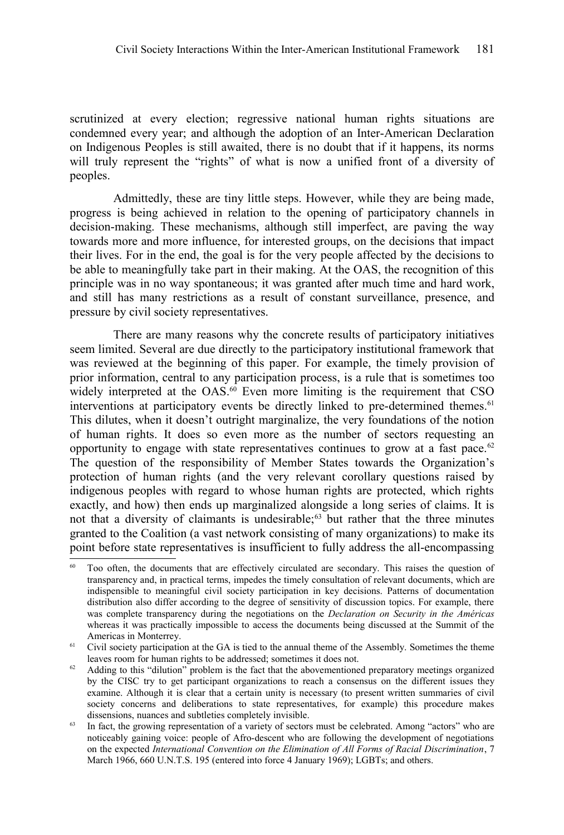scrutinized at every election; regressive national human rights situations are condemned every year; and although the adoption of an Inter-American Declaration on Indigenous Peoples is still awaited, there is no doubt that if it happens, its norms will truly represent the "rights" of what is now a unified front of a diversity of peoples.

Admittedly, these are tiny little steps. However, while they are being made, progress is being achieved in relation to the opening of participatory channels in decision-making. These mechanisms, although still imperfect, are paving the way towards more and more influence, for interested groups, on the decisions that impact their lives. For in the end, the goal is for the very people affected by the decisions to be able to meaningfully take part in their making. At the OAS, the recognition of this principle was in no way spontaneous; it was granted after much time and hard work, and still has many restrictions as a result of constant surveillance, presence, and pressure by civil society representatives.

There are many reasons why the concrete results of participatory initiatives seem limited. Several are due directly to the participatory institutional framework that was reviewed at the beginning of this paper. For example, the timely provision of prior information, central to any participation process, is a rule that is sometimes too widely interpreted at the OAS.<sup>[60](#page-16-0)</sup> Even more limiting is the requirement that CSO interventions at participatory events be directly linked to pre-determined themes.<sup>[61](#page-16-1)</sup> This dilutes, when it doesn't outright marginalize, the very foundations of the notion of human rights. It does so even more as the number of sectors requesting an opportunity to engage with state representatives continues to grow at a fast pace.<sup>[62](#page-16-2)</sup> The question of the responsibility of Member States towards the Organization's protection of human rights (and the very relevant corollary questions raised by indigenous peoples with regard to whose human rights are protected, which rights exactly, and how) then ends up marginalized alongside a long series of claims. It is not that a diversity of claimants is undesirable;<sup>[63](#page-16-3)</sup> but rather that the three minutes granted to the Coalition (a vast network consisting of many organizations) to make its point before state representatives is insufficient to fully address the all-encompassing

<span id="page-16-0"></span>Too often, the documents that are effectively circulated are secondary. This raises the question of transparency and, in practical terms, impedes the timely consultation of relevant documents, which are indispensible to meaningful civil society participation in key decisions. Patterns of documentation distribution also differ according to the degree of sensitivity of discussion topics. For example, there was complete transparency during the negotiations on the *Declaration on Security in the Américas* whereas it was practically impossible to access the documents being discussed at the Summit of the Americas in Monterrey.

<span id="page-16-1"></span><sup>&</sup>lt;sup>61</sup> Civil society participation at the GA is tied to the annual theme of the Assembly. Sometimes the theme leaves room for human rights to be addressed; sometimes it does not.

<span id="page-16-2"></span> $62$  Adding to this "dilution" problem is the fact that the abovementioned preparatory meetings organized by the CISC try to get participant organizations to reach a consensus on the different issues they examine. Although it is clear that a certain unity is necessary (to present written summaries of civil society concerns and deliberations to state representatives, for example) this procedure makes dissensions, nuances and subtleties completely invisible.

<span id="page-16-3"></span><sup>&</sup>lt;sup>63</sup> In fact, the growing representation of a variety of sectors must be celebrated. Among "actors" who are noticeably gaining voice: people of Afro-descent who are following the development of negotiations on the expected *International Convention on the Elimination of All Forms of Racial Discrimination*, 7 March 1966, 660 U.N.T.S. 195 (entered into force 4 January 1969); LGBTs; and others.